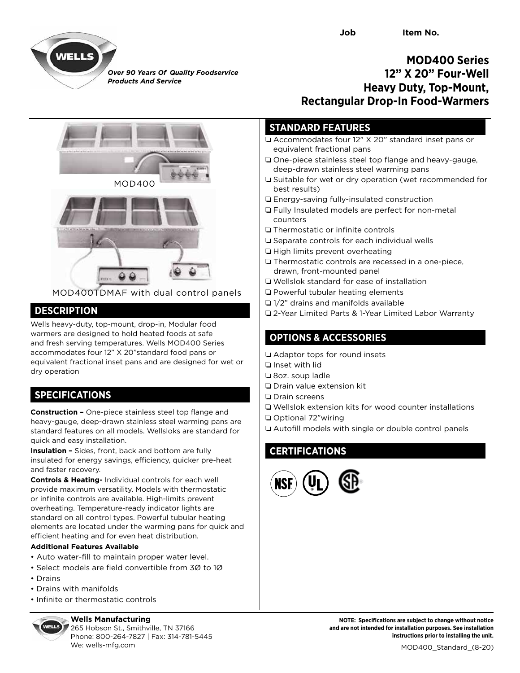

*Over 90 Years Of Quality Foodservice Products And Service*

### **MOD400 Series 12" X 20" Four-Well Heavy Duty, Top-Mount, Rectangular Drop-In Food-Warmers**

#### **STANDARD FEATURES**

- $\Box$  Accommodates four 12" X 20" standard inset pans or equivalent fractional pans
- $\Box$  One-piece stainless steel top flange and heavy-gauge, deep-drawn stainless steel warming pans
- $\Box$  Suitable for wet or dry operation (wet recommended for best results)
- $\Box$  Energy-saving fully-insulated construction
- **Q** Fully Insulated models are perfect for non-metal counters
- $\Box$  Thermostatic or infinite controls
- $\square$  Separate controls for each individual wells
- $\Box$  High limits prevent overheating
- $\Box$  Thermostatic controls are recessed in a one-piece, drawn, front-mounted panel
- $\Box$  Wellslok standard for ease of installation
- $\Box$  Powerful tubular heating elements
- $\Box$  1/2" drains and manifolds available
- □ 2-Year Limited Parts & 1-Year Limited Labor Warranty

## **OPTIONS & ACCESSORIES**

 $\Box$  Adaptor tops for round insets

- $\Box$  Inset with lid
- $\Box$  8oz. soup ladle
- $\Box$  Drain value extension kit
- $\Box$  Drain screens
- $\Box$  Wellslok extension kits for wood counter installations
- Optional 72"wiring
- $\Box$  Autofill models with single or double control panels

# **CERTIFICATIONS**





MOD400TDMAF with dual control panels

# **DESCRIPTION**

Wells heavy-duty, top-mount, drop-in, Modular food warmers are designed to hold heated foods at safe and fresh serving temperatures. Wells MOD400 Series accommodates four 12" X 20"standard food pans or equivalent fractional inset pans and are designed for wet or dry operation

# **SPECIFICATIONS**

**Construction –** One-piece stainless steel top flange and heavy-gauge, deep-drawn stainless steel warming pans are standard features on all models. Wellsloks are standard for quick and easy installation.

**Insulation –** Sides, front, back and bottom are fully insulated for energy savings, efficiency, quicker pre-heat and faster recovery.

**Controls & Heating-** Individual controls for each well provide maximum versatility. Models with thermostatic or infinite controls are available. High-limits prevent overheating. Temperature-ready indicator lights are standard on all control types. Powerful tubular heating elements are located under the warming pans for quick and efficient heating and for even heat distribution.

#### **Additional Features Available**

- Auto water-fill to maintain proper water level.
- Select models are field convertible from 3Ø to 1Ø
- Drains
- Drains with manifolds
- Infinite or thermostatic controls

#### **Wells Manufacturing**

265 Hobson St., Smithville, TN 37166 Phone: 800-264-7827 | Fax: 314-781-5445 We: wells-mfg.com and the state of the state of the state of the state of the MOD400 Standard (8-20)

**NOTE: Specifications are subject to change without notice and are not intended for installation purposes. See installation instructions prior to installing the unit.**